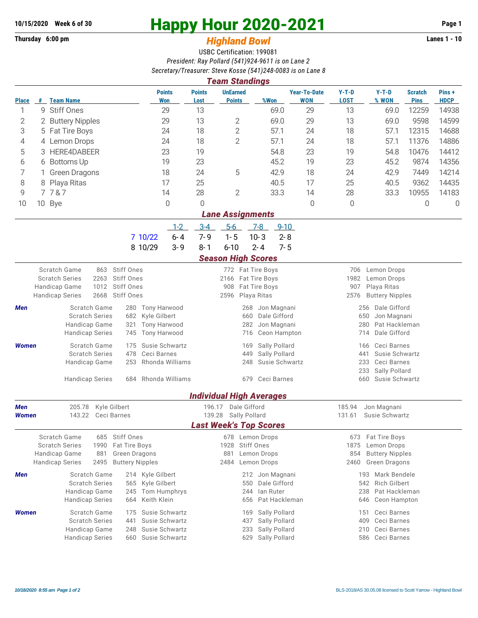## **Thursday 6:00 pm** *Highland Bowl* **Lanes 1 - 10**

## **10/15/2020 Week 6 of 30 Happy Hour 2020-2021 Page 1**

## USBC Certification: 199081 *President: Ray Pollard (541)924-9611 is on Lane 2 Secretary/Treasurer: Steve Kosse (541)248-0083 is on Lane 8*

|              |                         |                                                                           |                                 |                                  |                       | <b>Team Standings</b>                      |                                               |                                   |                                                      |                                             |                               |                      |  |  |
|--------------|-------------------------|---------------------------------------------------------------------------|---------------------------------|----------------------------------|-----------------------|--------------------------------------------|-----------------------------------------------|-----------------------------------|------------------------------------------------------|---------------------------------------------|-------------------------------|----------------------|--|--|
| <b>Place</b> |                         | # Team Name                                                               |                                 | <b>Points</b><br><b>Won</b>      | <b>Points</b><br>Lost | <b>UnEarned</b><br><b>Points</b>           | %Won                                          | <b>Year-To-Date</b><br><b>WON</b> | $Y-T-D$<br><b>LOST</b>                               | $Y-T-D$<br>% WON                            | <b>Scratch</b><br><b>Pins</b> | Pins+<br><b>HDCP</b> |  |  |
| 1            | 9                       | <b>Stiff Ones</b>                                                         |                                 | 29                               | 13                    |                                            | 69.0                                          | 29                                | 13                                                   | 69.0                                        | 12259                         | 14938                |  |  |
| 2            |                         | 2 Buttery Nipples                                                         |                                 | 29                               | 13                    | 2                                          | 69.0                                          | 29                                | 13                                                   | 69.0                                        | 9598                          | 14599                |  |  |
| 3            | 5 Fat Tire Boys         |                                                                           |                                 | 24                               | 18                    | $\overline{2}$                             | 57.1                                          | 24                                | 18                                                   | 57.1                                        | 12315                         | 14688                |  |  |
| 4            |                         | 4 Lemon Drops                                                             |                                 | 24                               | 18                    | $\overline{2}$                             | 57.1                                          | 24                                | 18                                                   | 57.1                                        | 11376                         | 14886                |  |  |
| 5            | HERE4DABEER             |                                                                           |                                 | 23                               | 19                    |                                            | 54.8                                          | 23                                | 19                                                   | 54.8                                        | 10476                         | 14412                |  |  |
| 6            |                         | 6 Bottoms Up                                                              |                                 | 23<br>19                         |                       |                                            | 45.2                                          | 19                                | 23                                                   | 45.2                                        | 9874                          | 14356                |  |  |
| 7            | 1.                      | <b>Green Dragons</b>                                                      |                                 | 18                               | 24                    | 5                                          | 42.9                                          | 18                                | 24                                                   | 42.9                                        | 7449                          | 14214                |  |  |
| 8            | Playa Ritas<br>8        |                                                                           |                                 | 17                               | 25                    |                                            | 40.5                                          | 17                                | 25                                                   | 40.5                                        | 9362                          | 14435                |  |  |
| 9            |                         | 7787                                                                      |                                 | 14                               | 28                    | $\overline{2}$                             | 33.3                                          | 14                                | 28                                                   | 33.3                                        | 10955                         | 14183                |  |  |
| 10           |                         | 10 Bye                                                                    |                                 | $\Omega$                         | 0                     |                                            |                                               | 0                                 | 0                                                    |                                             | 0                             | 0                    |  |  |
|              | <b>Lane Assignments</b> |                                                                           |                                 |                                  |                       |                                            |                                               |                                   |                                                      |                                             |                               |                      |  |  |
|              |                         |                                                                           |                                 | $1 - 2$                          | $3-4$                 | $5-6$                                      | $7-8$                                         | $9 - 10$                          |                                                      |                                             |                               |                      |  |  |
|              |                         |                                                                           | 7 10/22                         | $6 - 4$                          | $7 - 9$               | $1 - 5$                                    | $10 - 3$                                      | $2 - 8$                           |                                                      |                                             |                               |                      |  |  |
|              |                         |                                                                           | 8 10/29                         | $3 - 9$                          | $8 - 1$               | $6 - 10$                                   | $2 - 4$                                       | $7 - 5$                           |                                                      |                                             |                               |                      |  |  |
|              |                         |                                                                           |                                 |                                  |                       | <b>Season High Scores</b>                  |                                               |                                   |                                                      |                                             |                               |                      |  |  |
|              |                         | Scratch Game<br>863                                                       | <b>Stiff Ones</b>               |                                  |                       |                                            | 772 Fat Tire Boys                             |                                   | 706                                                  | Lemon Drops                                 |                               |                      |  |  |
|              |                         | <b>Scratch Series</b><br>2263<br>Handicap Game<br>1012                    | Stiff Ones<br><b>Stiff Ones</b> |                                  |                       | 2166 Fat Tire Boys<br>908<br>Fat Tire Boys |                                               |                                   |                                                      | 1982<br>Lemon Drops<br>907<br>Playa Ritas   |                               |                      |  |  |
|              |                         | 2668<br><b>Handicap Series</b>                                            | Stiff Ones                      |                                  |                       | 2596                                       | Playa Ritas                                   |                                   | 2576                                                 | <b>Buttery Nipples</b>                      |                               |                      |  |  |
| Men          |                         | Scratch Game                                                              | 280                             | Tony Harwood                     |                       |                                            | Jon Magnani<br>268                            |                                   |                                                      | 256<br>Dale Gifford                         |                               |                      |  |  |
|              |                         | <b>Scratch Series</b>                                                     | Kyle Gilbert<br>682             |                                  |                       | Dale Gifford<br>660                        |                                               |                                   | 650<br>Jon Magnani                                   |                                             |                               |                      |  |  |
|              |                         | Handicap Game                                                             | 321                             | <b>Tony Harwood</b>              |                       |                                            | 282<br>Jon Magnani                            |                                   |                                                      | 280<br>Pat Hackleman                        |                               |                      |  |  |
|              |                         | <b>Handicap Series</b>                                                    | 745                             | <b>Tony Harwood</b>              |                       |                                            | Ceon Hampton<br>716                           |                                   |                                                      | Dale Gifford<br>714                         |                               |                      |  |  |
| <b>Women</b> |                         | Scratch Game                                                              | 175                             | Susie Schwartz                   |                       |                                            | Sally Pollard<br>169                          |                                   |                                                      | Ceci Barnes<br>166                          |                               |                      |  |  |
|              |                         | <b>Scratch Series</b><br>Handicap Game                                    | Ceci Barnes<br>478<br>253       | Rhonda Williams                  |                       |                                            | Sally Pollard<br>449<br>Susie Schwartz<br>248 |                                   |                                                      | Susie Schwartz<br>441<br>233<br>Ceci Barnes |                               |                      |  |  |
|              |                         |                                                                           |                                 |                                  |                       |                                            |                                               |                                   |                                                      | Sally Pollard<br>233                        |                               |                      |  |  |
|              |                         | <b>Handicap Series</b>                                                    | Rhonda Williams                 |                                  |                       | Ceci Barnes<br>679                         |                                               |                                   | 660<br>Susie Schwartz                                |                                             |                               |                      |  |  |
|              |                         |                                                                           |                                 |                                  |                       |                                            | <b>Individual High Averages</b>               |                                   |                                                      |                                             |                               |                      |  |  |
| Men          |                         | Kyle Gilbert<br>205.78                                                    |                                 |                                  | 196.17                | Dale Gifford                               |                                               |                                   | 185.94                                               | Jon Magnani                                 |                               |                      |  |  |
| <b>Women</b> |                         | 143.22<br>Ceci Barnes                                                     |                                 |                                  | 139.28                | Sally Pollard                              |                                               |                                   | 131.61                                               | Susie Schwartz                              |                               |                      |  |  |
|              |                         |                                                                           |                                 |                                  |                       |                                            | <b>Last Week's Top Scores</b>                 |                                   |                                                      |                                             |                               |                      |  |  |
|              |                         | Scratch Game<br>685                                                       | Stiff Ones                      |                                  |                       |                                            | 678 Lemon Drops                               |                                   | 673                                                  | Fat Tire Boys                               |                               |                      |  |  |
|              |                         | <b>Scratch Series</b><br>1990<br>Fat Tire Boys<br>881<br>Green Dragons    |                                 |                                  |                       | 1928<br>881                                | Stiff Ones                                    |                                   | 1875<br>Lemon Drops<br>854<br><b>Buttery Nipples</b> |                                             |                               |                      |  |  |
|              |                         | Handicap Game<br><b>Buttery Nipples</b><br><b>Handicap Series</b><br>2495 |                                 |                                  |                       | Lemon Drops<br>Lemon Drops<br>2484         |                                               |                                   |                                                      | 2460<br><b>Green Dragons</b>                |                               |                      |  |  |
| Men          |                         | Scratch Game                                                              | 214 Kyle Gilbert                |                                  |                       |                                            | 212<br>Jon Magnani                            |                                   |                                                      | Mark Bendele<br>193                         |                               |                      |  |  |
|              |                         | <b>Scratch Series</b>                                                     | Kyle Gilbert<br>565             |                                  |                       |                                            | Dale Gifford<br>550                           |                                   |                                                      | <b>Rich Gilbert</b><br>542                  |                               |                      |  |  |
|              |                         | Handicap Game                                                             | 245                             | Tom Humphrys                     |                       |                                            | lan Ruter<br>244                              |                                   |                                                      | Pat Hackleman<br>238                        |                               |                      |  |  |
|              |                         | <b>Handicap Series</b>                                                    | Keith Klein<br>664              |                                  |                       |                                            | Pat Hackleman<br>656                          |                                   |                                                      | Ceon Hampton<br>646                         |                               |                      |  |  |
| <b>Women</b> |                         | Scratch Game                                                              | 175                             | Susie Schwartz                   |                       |                                            | Sally Pollard<br>169                          |                                   |                                                      | Ceci Barnes<br>151                          |                               |                      |  |  |
|              |                         | <b>Scratch Series</b>                                                     | 441                             | Susie Schwartz                   |                       | 437                                        | Sally Pollard                                 |                                   |                                                      | Ceci Barnes<br>409                          |                               |                      |  |  |
|              |                         | Handicap Game<br><b>Handicap Series</b>                                   | 248<br>660                      | Susie Schwartz<br>Susie Schwartz |                       |                                            | Sally Pollard<br>233<br>Sally Pollard<br>629  |                                   |                                                      | Ceci Barnes<br>210<br>Ceci Barnes<br>586    |                               |                      |  |  |
|              |                         |                                                                           |                                 |                                  |                       |                                            |                                               |                                   |                                                      |                                             |                               |                      |  |  |